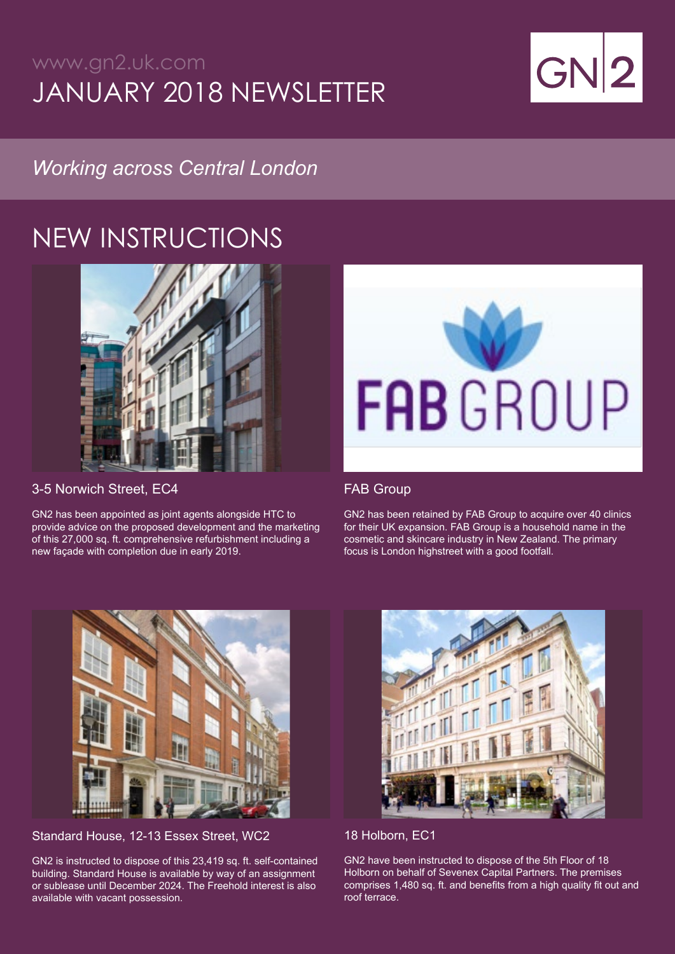### www.gn2.uk.com JANUARY 2018 NEWSLETTER



### *Working across Central London*

# NEW INSTRUCTIONS



3-5 Norwich Street, EC4

GN2 has been appointed as joint agents alongside HTC to provide advice on the proposed development and the marketing of this 27,000 sq. ft. comprehensive refurbishment including a new façade with completion due in early 2019.



#### FAB Group

GN2 has been retained by FAB Group to acquire over 40 clinics for their UK expansion. FAB Group is a household name in the cosmetic and skincare industry in New Zealand. The primary focus is London highstreet with a good footfall.



Standard House, 12-13 Essex Street, WC2

GN2 is instructed to dispose of this 23,419 sq. ft. self-contained building. Standard House is available by way of an assignment or sublease until December 2024. The Freehold interest is also available with vacant possession.



#### 18 Holborn, EC1

GN2 have been instructed to dispose of the 5th Floor of 18 Holborn on behalf of Sevenex Capital Partners. The premises comprises 1,480 sq. ft. and benefits from a high quality fit out and roof terrace.